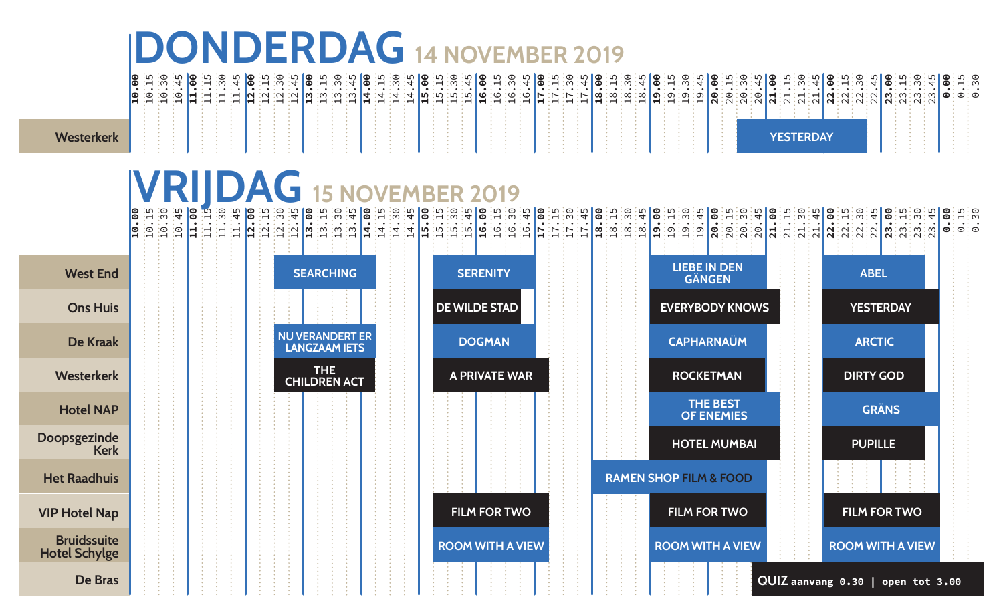## **DONDERDAG 14 november 2019**

**Westerke** 

| <b>ി</b> ര <i>്</i> ഗ<br>lo H | . 0<br>ന് | ு | ∣ര ∵⊣ ∵ന |  |  |  |       |  |  |       |  | 34   @ 34   @ 34   @ 34   @ 34   @ 34   @ 34   @ 34   @ 34   @ 34   @ 34   @ 34   @ 34   @ 34   @ 34   @ 34   @ 34   @ 34   @ 34   @ 34   @ 34   @ 34   @ 34   @ 34   @ 34   @ 34   @ 34   @ 34   @ 34   @ 34   @ 34   @ 34 |  |  |  |  |  |  |                               |  |       |  |  |  |  |            |  |             |
|-------------------------------|-----------|---|----------|--|--|--|-------|--|--|-------|--|-----------------------------------------------------------------------------------------------------------------------------------------------------------------------------------------------------------------------------|--|--|--|--|--|--|-------------------------------|--|-------|--|--|--|--|------------|--|-------------|
| Ι©                            | ිල ම      |   |          |  |  |  | ∙ന ∙ന |  |  | - 110 |  | - <b>רו</b> ט: ט: ט: ט : ס   מ: מ: מ: י                                                                                                                                                                                     |  |  |  |  |  |  | :∞:∞:∞∎ <b>……</b> :ത:ത:ത∎©:⊙: |  | ு⊙்பு |  |  |  |  | N. N. N. N |  | ี๛๛๛๛๛๛๛๚๛๛ |
|                               |           |   |          |  |  |  |       |  |  |       |  |                                                                                                                                                                                                                             |  |  |  |  |  |  |                               |  |       |  |  |  |  |            |  |             |
|                               |           |   |          |  |  |  |       |  |  |       |  |                                                                                                                                                                                                                             |  |  |  |  |  |  |                               |  |       |  |  |  |  |            |  |             |
|                               |           |   |          |  |  |  |       |  |  |       |  |                                                                                                                                                                                                                             |  |  |  |  |  |  |                               |  |       |  |  |  |  |            |  |             |
|                               |           |   |          |  |  |  |       |  |  |       |  |                                                                                                                                                                                                                             |  |  |  |  |  |  |                               |  |       |  |  |  |  |            |  |             |
|                               |           |   |          |  |  |  |       |  |  |       |  |                                                                                                                                                                                                                             |  |  |  |  |  |  |                               |  |       |  |  |  |  |            |  |             |
|                               |           |   |          |  |  |  |       |  |  |       |  |                                                                                                                                                                                                                             |  |  |  |  |  |  |                               |  |       |  |  |  |  |            |  |             |
|                               |           |   |          |  |  |  |       |  |  |       |  |                                                                                                                                                                                                                             |  |  |  |  |  |  |                               |  |       |  |  |  |  |            |  |             |

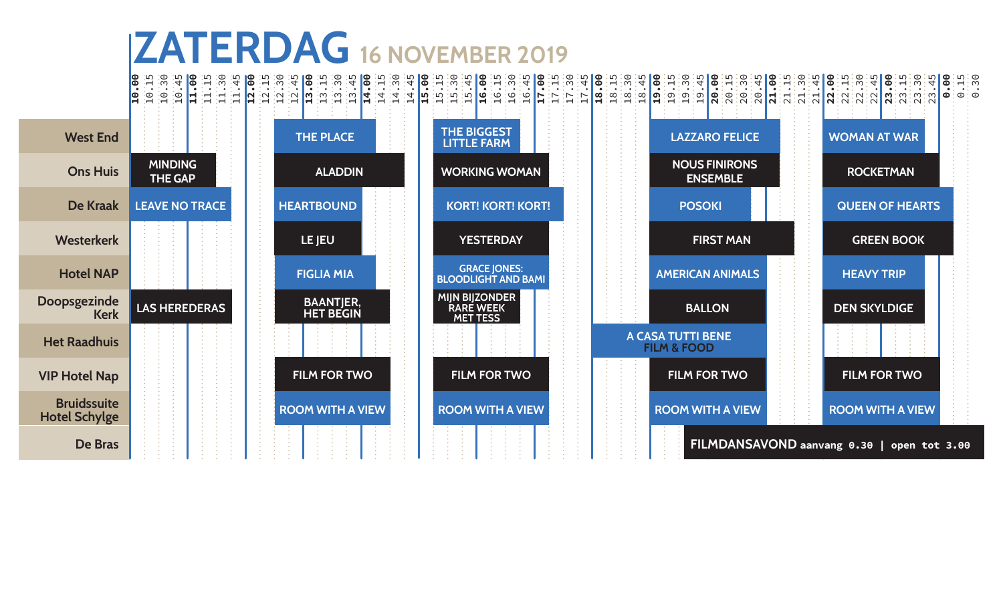## **ZATERDAG 16 november 2019**